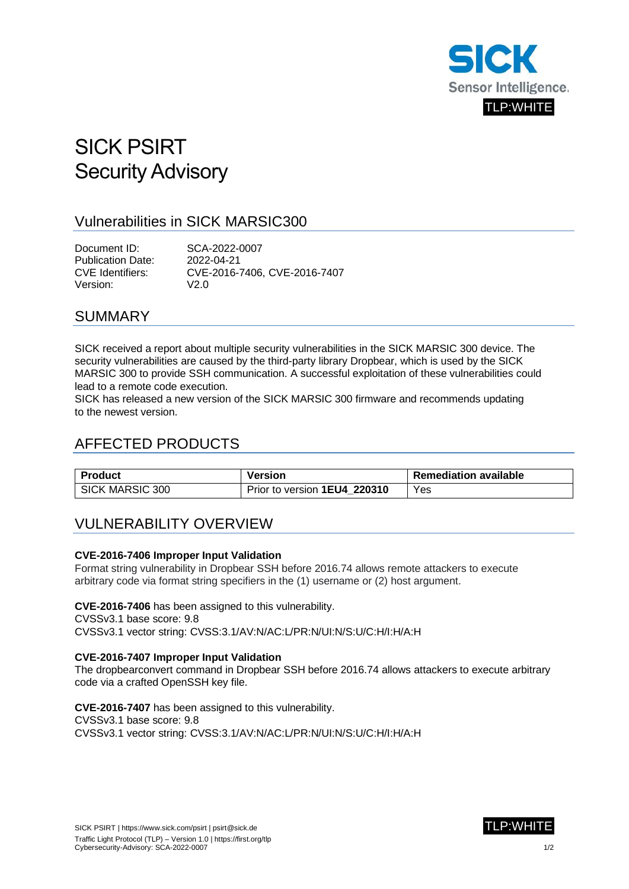

# SICK PSIRT Security Advisory

# Vulnerabilities in SICK MARSIC300

Document ID: SCA-2022-0007 Publication Date: 2022-04-21 CVE Identifiers: CVE-2016-7406, CVE-2016-7407 Version: V2.0

### SUMMARY

SICK received a report about multiple security vulnerabilities in the SICK MARSIC 300 device. The security vulnerabilities are caused by the third-party library Dropbear, which is used by the SICK MARSIC 300 to provide SSH communication. A successful exploitation of these vulnerabilities could lead to a remote code execution.

SICK has released a new version of the SICK MARSIC 300 firmware and recommends updating to the newest version.

# AFFECTED PRODUCTS

| Product                | Version                      | <b>Remediation available</b> |
|------------------------|------------------------------|------------------------------|
| <b>SICK MARSIC 300</b> | Prior to version 1EU4 220310 | Yes                          |

# VULNERABILITY OVERVIEW

#### **CVE-2016-7406 Improper Input Validation**

Format string vulnerability in Dropbear SSH before 2016.74 allows remote attackers to execute arbitrary code via format string specifiers in the (1) username or (2) host argument.

**CVE-2016-7406** has been assigned to this vulnerability.

CVSSv3.1 base score: 9.8

CVSSv3.1 vector string: CVSS:3.1/AV:N/AC:L/PR:N/UI:N/S:U/C:H/I:H/A:H

#### **CVE-2016-7407 Improper Input Validation**

The dropbearconvert command in Dropbear SSH before 2016.74 allows attackers to execute arbitrary code via a crafted OpenSSH key file.

**CVE-2016-7407** has been assigned to this vulnerability.

CVSSv3.1 base score: 9.8

CVSSv3.1 vector string: CVSS:3.1/AV:N/AC:L/PR:N/UI:N/S:U/C:H/I:H/A:H